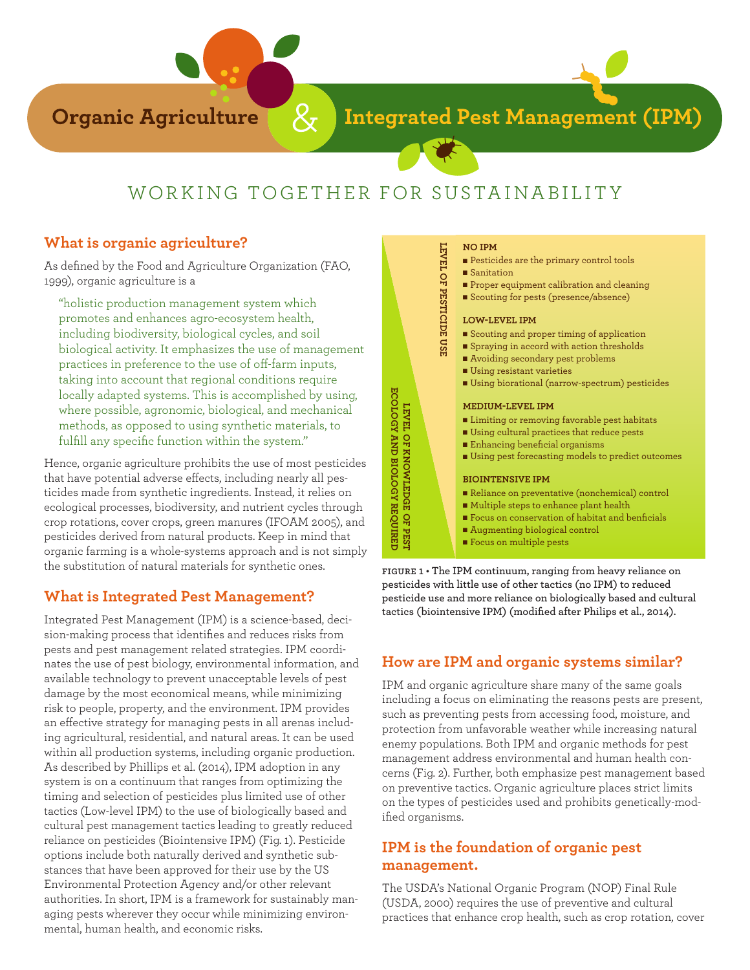

**Integrated Pest Management (IPM)** 

**NO IPM**

# WORKING TOGETHER FOR SUSTAINABILITY

#### **What is organic agriculture?**

As defined by the Food and Agriculture Organization (FAO, 1999), organic agriculture is a

"holistic production management system which promotes and enhances agro-ecosystem health, including biodiversity, biological cycles, and soil biological activity. It emphasizes the use of management practices in preference to the use of off-farm inputs, taking into account that regional conditions require locally adapted systems. This is accomplished by using, where possible, agronomic, biological, and mechanical methods, as opposed to using synthetic materials, to fulfill any specific function within the system."

Hence, organic agriculture prohibits the use of most pesticides that have potential adverse effects, including nearly all pesticides made from synthetic ingredients. Instead, it relies on ecological processes, biodiversity, and nutrient cycles through crop rotations, cover crops, green manures (IFOAM 2005), and pesticides derived from natural products. Keep in mind that organic farming is a whole-systems approach and is not simply the substitution of natural materials for synthetic ones.

# **What is Integrated Pest Management?**

Integrated Pest Management (IPM) is a science-based, decision-making process that identifies and reduces risks from pests and pest management related strategies. IPM coordinates the use of pest biology, environmental information, and available technology to prevent unacceptable levels of pest damage by the most economical means, while minimizing risk to people, property, and the environment. IPM provides an effective strategy for managing pests in all arenas including agricultural, residential, and natural areas. It can be used within all production systems, including organic production. As described by Phillips et al. (2014), IPM adoption in any system is on a continuum that ranges from optimizing the timing and selection of pesticides plus limited use of other tactics (Low-level IPM) to the use of biologically based and cultural pest management tactics leading to greatly reduced reliance on pesticides (Biointensive IPM) (Fig. 1). Pesticide options include both naturally derived and synthetic substances that have been approved for their use by the US Environmental Protection Agency and/or other relevant authorities. In short, IPM is a framework for sustainably managing pests wherever they occur while minimizing environmental, human health, and economic risks.



**figure 1 • The IPM continuum, ranging from heavy reliance on pesticides with little use of other tactics (no IPM) to reduced pesticide use and more reliance on biologically based and cultural** 

# **How are IPM and organic systems similar?**

IPM and organic agriculture share many of the same goals including a focus on eliminating the reasons pests are present, such as preventing pests from accessing food, moisture, and protection from unfavorable weather while increasing natural enemy populations. Both IPM and organic methods for pest management address environmental and human health concerns (Fig. 2). Further, both emphasize pest management based on preventive tactics. Organic agriculture places strict limits on the types of pesticides used and prohibits genetically-modified organisms.

### **IPM is the foundation of organic pest management.**

The USDA's National Organic Program (NOP) Final Rule (USDA, 2000) requires the use of preventive and cultural practices that enhance crop health, such as crop rotation, cover